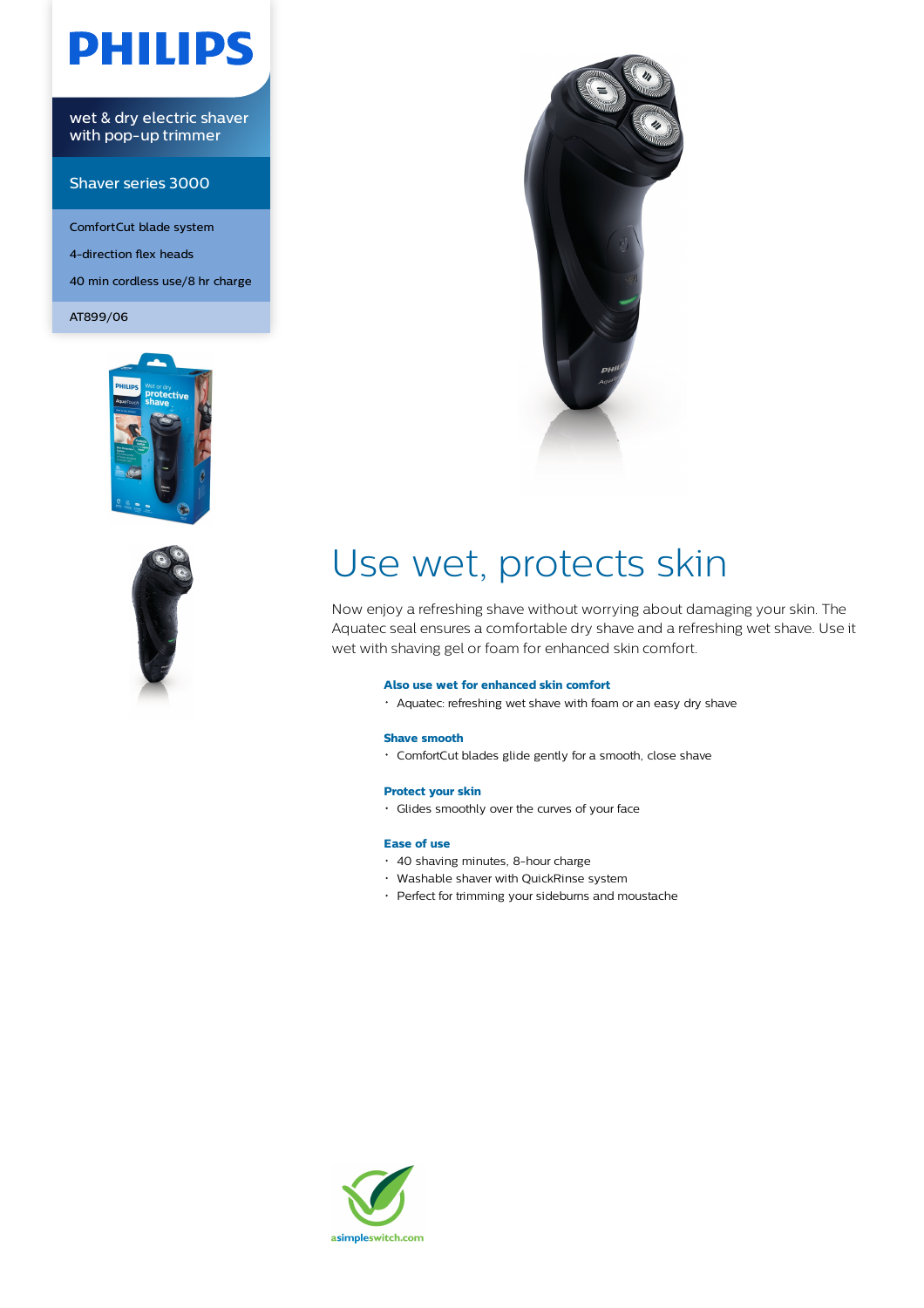# **PHILIPS**

wet & dry electric shaver with pop-up trimmer

### Shaver series 3000

ComfortCut blade system 4-direction flex heads 40 min cordless use/8 hr charge

AT899/06







## Use wet, protects skin

Now enjoy a refreshing shave without worrying about damaging your skin. The Aquatec seal ensures a comfortable dry shave and a refreshing wet shave. Use it wet with shaving gel or foam for enhanced skin comfort.

#### **Also use wet for enhanced skin comfort**

Aquatec: refreshing wet shave with foam or an easy dry shave

#### **Shave smooth**

ComfortCut blades glide gently for a smooth, close shave

#### **Protect your skin**

Glides smoothly over the curves of your face

#### **Ease of use**

- 40 shaving minutes, 8-hour charge
- Washable shaver with QuickRinse system
- Perfect for trimming your sideburns and moustache